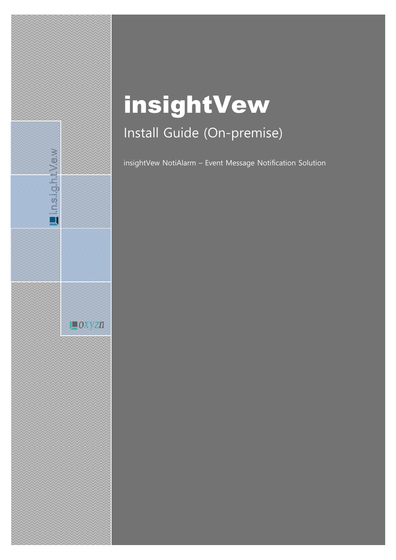# insightVew Install Guide (On-premise)

Lin.s.i.g.h.t.V.e.w

 $\Box$ OXYZn

insightVew NotiAlarm – Event Message Notification Solution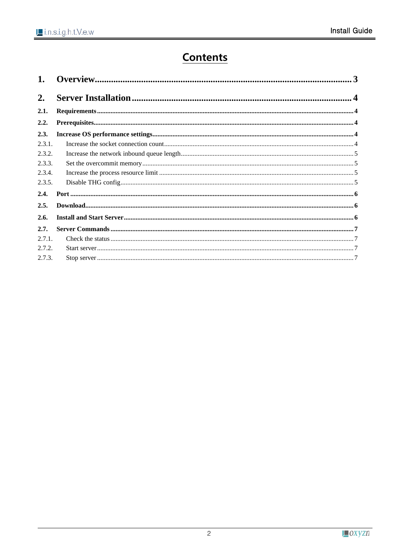## **Contents**

| 2.     |                                                                                                                 |  |  |  |
|--------|-----------------------------------------------------------------------------------------------------------------|--|--|--|
| 2.1.   |                                                                                                                 |  |  |  |
| 2.2.   |                                                                                                                 |  |  |  |
| 2.3.   |                                                                                                                 |  |  |  |
| 2.3.1. |                                                                                                                 |  |  |  |
| 2.3.2. |                                                                                                                 |  |  |  |
| 2.3.3. |                                                                                                                 |  |  |  |
| 2.3.4. |                                                                                                                 |  |  |  |
| 2.3.5. |                                                                                                                 |  |  |  |
| 2.4.   |                                                                                                                 |  |  |  |
| 2.5.   | ${\bf Down load.}\label{def:lownload} {\bf Down load.}\label{def:lownload} {\bf own load.}\label{def:lownload}$ |  |  |  |
| 2.6.   |                                                                                                                 |  |  |  |
| 2.7.   |                                                                                                                 |  |  |  |
| 2.7.1  |                                                                                                                 |  |  |  |
| 2.7.2. |                                                                                                                 |  |  |  |
| 2.7.3. |                                                                                                                 |  |  |  |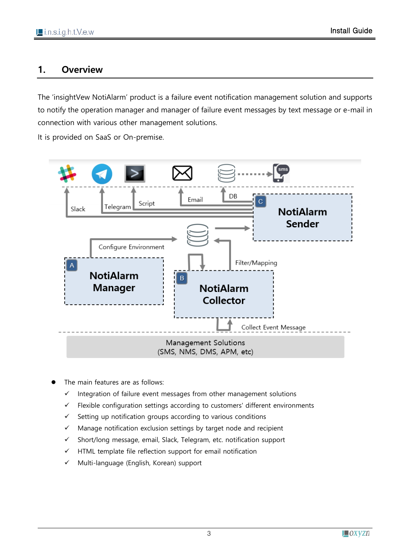## <span id="page-2-0"></span>**1. Overview**

The 'insightVew NotiAlarm' product is a failure event notification management solution and supports to notify the operation manager and manager of failure event messages by text message or e-mail in connection with various other management solutions.

It is provided on SaaS or On-premise.



- The main features are as follows:
	- ✓ Integration of failure event messages from other management solutions
	- ✓ Flexible configuration settings according to customers' different environments
	- ✓ Setting up notification groups according to various conditions
	- ✓ Manage notification exclusion settings by target node and recipient
	- ✓ Short/long message, email, Slack, Telegram, etc. notification support
	- $\checkmark$  HTML template file reflection support for email notification
	- ✓ Multi-language (English, Korean) support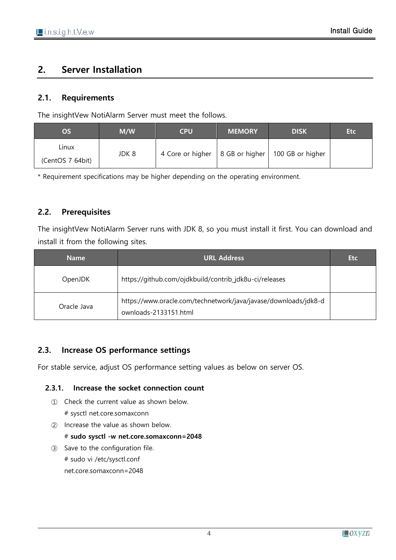## <span id="page-3-0"></span>**2. Server Installation**

#### <span id="page-3-1"></span>**2.1. Requirements**

The insightVew NotiAlarm Server must meet the follows.

| OS               | M/W   | <b>CPU</b>                        | <b>MEMORY</b> | <b>DISK</b>      | <b>Etc</b> |
|------------------|-------|-----------------------------------|---------------|------------------|------------|
| Linux            | JDK 8 | 4 Core or higher   8 GB or higher |               | 100 GB or higher |            |
| (CentOS 7 64bit) |       |                                   |               |                  |            |

\* Requirement specifications may be higher depending on the operating environment.

## <span id="page-3-2"></span>**2.2. Prerequisites**

The insightVew NotiAlarm Server runs with JDK 8, so you must install it first. You can download and install it from the following sites.

| <b>Name</b> | <b>URL Address</b>                                                                       | <b>Etc</b> |
|-------------|------------------------------------------------------------------------------------------|------------|
| OpenJDK     | https://github.com/ojdkbuild/contrib_jdk8u-ci/releases                                   |            |
| Oracle Java | https://www.oracle.com/technetwork/java/javase/downloads/jdk8-d<br>ownloads-2133151.html |            |

## <span id="page-3-3"></span>**2.3. Increase OS performance settings**

For stable service, adjust OS performance setting values as below on server OS.

#### <span id="page-3-4"></span>**2.3.1. Increase the socket connection count**

- ① Check the current value as shown below. # sysctl net.core.somaxconn
- ② Increase the value as shown below. # **sudo sysctl -w net.core.somaxconn=2048**
- ③ Save to the configuration file. # sudo vi /etc/sysctl.conf net.core.somaxconn=2048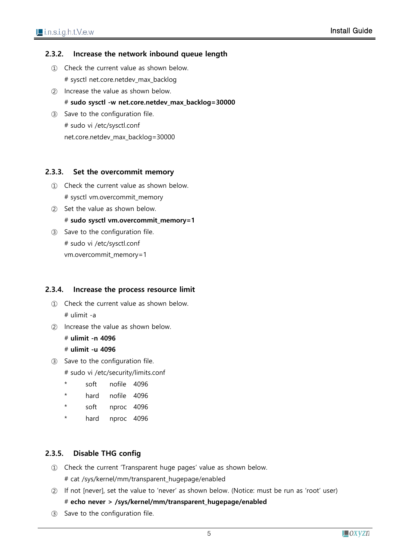#### <span id="page-4-0"></span>**2.3.2. Increase the network inbound queue length**

- ① Check the current value as shown below. # sysctl net.core.netdev\_max\_backlog
- ② Increase the value as shown below. # **sudo sysctl -w net.core.netdev\_max\_backlog=30000**
- ③ Save to the configuration file. # sudo vi /etc/sysctl.conf net.core.netdev\_max\_backlog=30000

#### <span id="page-4-1"></span>**2.3.3. Set the overcommit memory**

- ① Check the current value as shown below. # sysctl vm.overcommit\_memory
- ② Set the value as shown below. # **sudo sysctl vm.overcommit\_memory=1**
- ③ Save to the configuration file. # sudo vi /etc/sysctl.conf vm.overcommit\_memory=1

#### <span id="page-4-2"></span>**2.3.4. Increase the process resource limit**

- ① Check the current value as shown below. # ulimit -a
- ② Increase the value as shown below.
	- # **ulimit -n 4096**

#### # **ulimit -u 4096**

- ③ Save to the configuration file.
	- # sudo vi /etc/security/limits.conf
	- soft nofile 4096
	- hard nofile 4096
	- \* soft nproc 4096
	- \* hard nproc 4096

#### <span id="page-4-3"></span>**2.3.5. Disable THG config**

- ① Check the current 'Transparent huge pages' value as shown below.
	- # cat /sys/kernel/mm/transparent\_hugepage/enabled
- ② If not [never], set the value to 'never' as shown below. (Notice: must be run as 'root' user)

#### # **echo never > /sys/kernel/mm/transparent\_hugepage/enabled**

③ Save to the configuration file.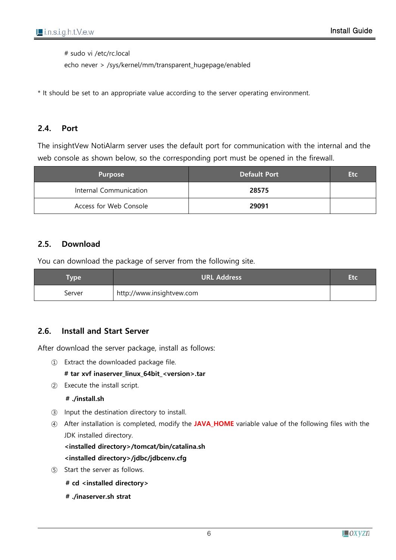# sudo vi /etc/rc.local

echo never > /sys/kernel/mm/transparent\_hugepage/enabled

\* It should be set to an appropriate value according to the server operating environment.

#### <span id="page-5-0"></span>**2.4. Port**

The insightVew NotiAlarm server uses the default port for communication with the internal and the web console as shown below, so the corresponding port must be opened in the firewall.

| <b>Purpose</b>         | <b>Default Port</b> | Etc. |
|------------------------|---------------------|------|
| Internal Communication | 28575               |      |
| Access for Web Console | 29091               |      |

#### <span id="page-5-1"></span>**2.5. Download**

You can download the package of server from the following site.

| <b>Vpe</b> | URL Address               |  |
|------------|---------------------------|--|
| Server     | http://www.insightvew.com |  |

#### <span id="page-5-2"></span>**2.6. Install and Start Server**

After download the server package, install as follows:

① Extract the downloaded package file.

#### **# tar xvf inaserver\_linux\_64bit\_<version>.tar**

② Execute the install script.

#### **# ./install.sh**

- ③ Input the destination directory to install.
- ④ After installation is completed, modify the **JAVA\_HOME** variable value of the following files with the JDK installed directory.

#### **<installed directory>/tomcat/bin/catalina.sh**

#### **<installed directory>/jdbc/jdbcenv.cfg**

- ⑤ Start the server as follows.
	- **# cd <installed directory>**
	- **# ./inaserver.sh strat**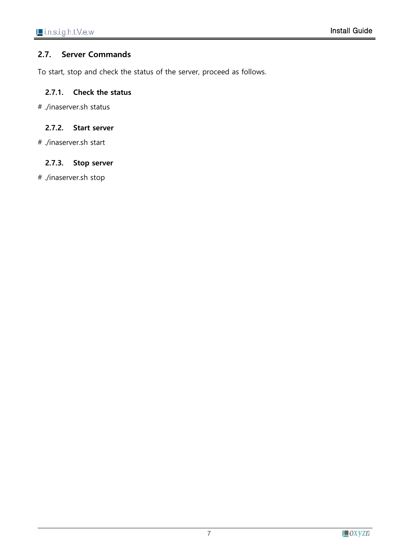#### <span id="page-6-0"></span>**2.7. Server Commands**

To start, stop and check the status of the server, proceed as follows.

#### <span id="page-6-1"></span>**2.7.1. Check the status**

# ./inaserver.sh status

#### <span id="page-6-2"></span>**2.7.2. Start server**

# ./inaserver.sh start

#### <span id="page-6-3"></span>**2.7.3. Stop server**

# ./inaserver.sh stop